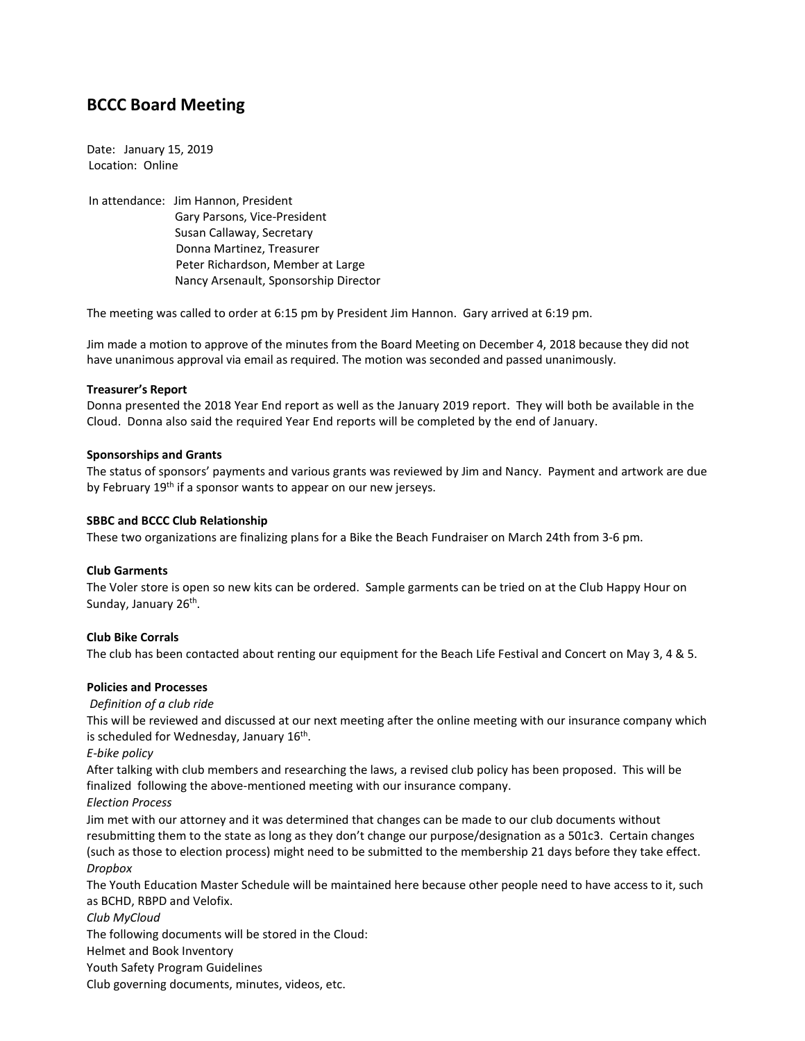# **BCCC Board Meeting**

Date: January 15, 2019 Location: Online

In attendance: Jim Hannon, President Gary Parsons, Vice-President Susan Callaway, Secretary Donna Martinez, Treasurer Peter Richardson, Member at Large Nancy Arsenault, Sponsorship Director

The meeting was called to order at 6:15 pm by President Jim Hannon. Gary arrived at 6:19 pm.

Jim made a motion to approve of the minutes from the Board Meeting on December 4, 2018 because they did not have unanimous approval via email as required. The motion was seconded and passed unanimously.

## **Treasurer's Report**

Donna presented the 2018 Year End report as well as the January 2019 report. They will both be available in the Cloud. Donna also said the required Year End reports will be completed by the end of January.

## **Sponsorships and Grants**

The status of sponsors' payments and various grants was reviewed by Jim and Nancy. Payment and artwork are due by February 19<sup>th</sup> if a sponsor wants to appear on our new jerseys.

## **SBBC and BCCC Club Relationship**

These two organizations are finalizing plans for a Bike the Beach Fundraiser on March 24th from 3-6 pm.

# **Club Garments**

The Voler store is open so new kits can be ordered. Sample garments can be tried on at the Club Happy Hour on Sunday, January 26<sup>th</sup>.

# **Club Bike Corrals**

The club has been contacted about renting our equipment for the Beach Life Festival and Concert on May 3, 4 & 5.

# **Policies and Processes**

*Definition of a club ride*

This will be reviewed and discussed at our next meeting after the online meeting with our insurance company which is scheduled for Wednesday, January 16<sup>th</sup>.

*E-bike policy*

After talking with club members and researching the laws, a revised club policy has been proposed. This will be finalized following the above-mentioned meeting with our insurance company.

*Election Process*

Jim met with our attorney and it was determined that changes can be made to our club documents without resubmitting them to the state as long as they don't change our purpose/designation as a 501c3. Certain changes (such as those to election process) might need to be submitted to the membership 21 days before they take effect. *Dropbox*

The Youth Education Master Schedule will be maintained here because other people need to have access to it, such as BCHD, RBPD and Velofix.

*Club MyCloud*

The following documents will be stored in the Cloud:

Helmet and Book Inventory

Youth Safety Program Guidelines

Club governing documents, minutes, videos, etc.